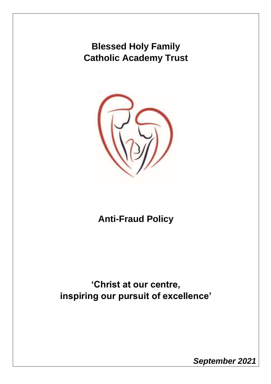# **Blessed Holy Family Catholic Academy Trust**



# **Anti-Fraud Policy**

**'Christ at our centre, inspiring our pursuit of excellence'**

*September 2021*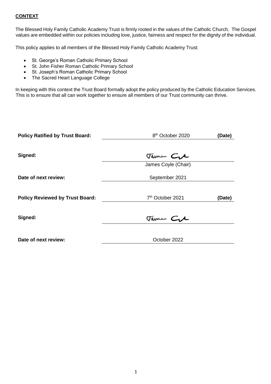# **CONTEXT**

The Blessed Holy Family Catholic Academy Trust is firmly rooted in the values of the Catholic Church. The Gospel values are embedded within our policies including love, justice, fairness and respect for the dignity of the individual.

This policy applies to all members of the Blessed Holy Family Catholic Academy Trust:

- St. George's Roman Catholic Primary School
- St. John Fisher Roman Catholic Primary School
- St. Joseph's Roman Catholic Primary School
- The Sacred Heart Language College

In keeping with this context the Trust Board formally adopt the policy produced by the Catholic Education Services. This is to ensure that all can work together to ensure all members of our Trust community can thrive.

| <b>Policy Ratified by Trust Board:</b> | 8 <sup>th</sup> October 2020 | (Date) |
|----------------------------------------|------------------------------|--------|
| Signed:                                | Tame Cre                     |        |
|                                        | James Coyle (Chair)          |        |
| Date of next review:                   | September 2021               |        |
|                                        |                              |        |
| <b>Policy Reviewed by Trust Board:</b> | 7 <sup>th</sup> October 2021 | (Date) |
|                                        |                              |        |
| Signed:                                | Tame Cre                     |        |
|                                        |                              |        |
| Date of next review:                   | October 2022                 |        |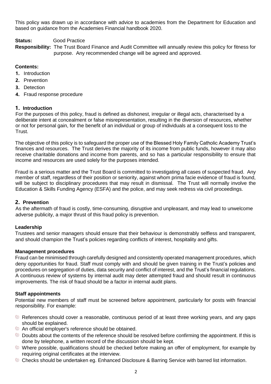This policy was drawn up in accordance with advice to academies from the Department for Education and based on guidance from the Academies Financial handbook 2020.

## **Status:** Good Practice

**Responsibility:** The Trust Board Finance and Audit Committee will annually review this policy for fitness for purpose. Any recommended change will be agreed and approved.

## **Contents:**

- **1.** Introduction
- **2.** Prevention
- **3.** Detection
- **4.** Fraud response procedure

#### **1. Introduction**

For the purposes of this policy, fraud is defined as dishonest, irregular or illegal acts, characterised by a deliberate intent at concealment or false misrepresentation, resulting in the diversion of resources, whether or not for personal gain, for the benefit of an individual or group of individuals at a consequent loss to the Trust.

The objective of this policy is to safeguard the proper use of the Blessed Holy Family Catholic Academy Trust's finances and resources. The Trust derives the majority of its income from public funds, however it may also receive charitable donations and income from parents, and so has a particular responsibility to ensure that income and resources are used solely for the purposes intended.

Fraud is a serious matter and the Trust Board is committed to investigating all cases of suspected fraud. Any member of staff, regardless of their position or seniority, against whom prima facie evidence of fraud is found, will be subject to disciplinary procedures that may result in dismissal. The Trust will normally involve the Education & Skills Funding Agency (ESFA) and the police, and may seek redress via civil proceedings.

## **2. Prevention**

As the aftermath of fraud is costly, time-consuming, disruptive and unpleasant, and may lead to unwelcome adverse publicity, a major thrust of this fraud policy is prevention.

#### **Leadership**

Trustees and senior managers should ensure that their behaviour is demonstrably selfless and transparent, and should champion the Trust's policies regarding conflicts of interest, hospitality and gifts.

#### **Management procedures**

Fraud can be minimised through carefully designed and consistently operated management procedures, which deny opportunities for fraud. Staff must comply with and should be given training in the Trust's policies and procedures on segregation of duties, data security and conflict of interest, and the Trust's financial regulations. A continuous review of systems by internal audit may deter attempted fraud and should result in continuous improvements. The risk of fraud should be a factor in internal audit plans.

# **Staff appointments**

Potential new members of staff must be screened before appointment, particularly for posts with financial responsibility. For example:

- References should cover a reasonable, continuous period of at least three working years, and any gaps should be explained.
- An official employer's reference should be obtained.
- Doubts about the contents of the reference should be resolved before confirming the appointment. If this is done by telephone, a written record of the discussion should be kept.
- Where possible, qualifications should be checked before making an offer of employment, for example by requiring original certificates at the interview.
- **Checks should be undertaken eg. Enhanced Disclosure & Barring Service with barred list information.**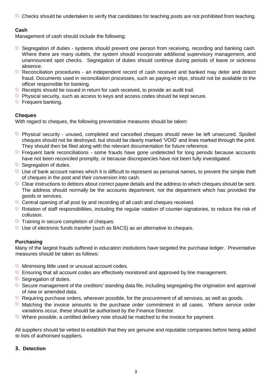Checks should be undertaken to verify that candidates for teaching posts are not prohibited from teaching.

# **Cash**

Management of cash should include the following:

- Segregation of duties systems should prevent one person from receiving, recording and banking cash. Where there are many outlets, the system should incorporate additional supervisory management, and unannounced spot checks. Segregation of duties should continue during periods of leave or sickness absence.
- Reconciliation procedures an independent record of cash received and banked may deter and detect fraud. Documents used in reconciliation processes, such as paying-in slips, should not be available to the officer responsible for banking.
- Receipts should be issued in return for cash received, to provide an audit trail.
- Physical security, such as access to keys and access codes should be kept secure.
- **Frequent banking.**

# **Cheques**

With regard to cheques, the following preventative measures should be taken:

- Physical security unused, completed and cancelled cheques should never be left unsecured. Spoiled cheques should not be destroyed, but should be clearly marked 'VOID' and lines marked through the print. They should then be filed along with the relevant documentation for future reference.
- **Example 1** Frequent bank reconciliations some frauds have gone undetected for long periods because accounts have not been reconciled promptly, or because discrepancies have not been fully investigated.
- Segregation of duties.
- Use of bank account names which it is difficult to represent as personal names, to prevent the simple theft of cheques in the post and their conversion into cash.
- Clear instructions to debtors about correct payee details and the address to which cheques should be sent. The address should normally be the accounts department, not the department which has provided the goods or services.
- Central opening of all post by and recording of all cash and cheques received.
- Rotation of staff responsibilities, including the regular rotation of counter-signatories, to reduce the risk of collusion.
- **Training in secure completion of cheques.**
- Use of electronic funds transfer (such as BACS) as an alternative to cheques.

# **Purchasing**

Many of the largest frauds suffered in education institutions have targeted the purchase ledger. Preventative measures should be taken as follows:

- **Minimising little used or unusual account codes.**
- **Ensuring that all account codes are effectively monitored and approved by line management.**
- Segregation of duties.
- Secure management of the creditors' standing data file, including segregating the origination and approval of new or amended data.
- Requiring purchase orders, wherever possible, for the procurement of all services, as well as goods.
- Matching the invoice amounts to the purchase order commitment in all cases. Where service order variations occur, these should be authorised by the Finance Director.
- Where possible, a certified delivery note should be matched to the invoice for payment.

All suppliers should be vetted to establish that they are genuine and reputable companies before being added to lists of authorised suppliers.

# **3. Detection**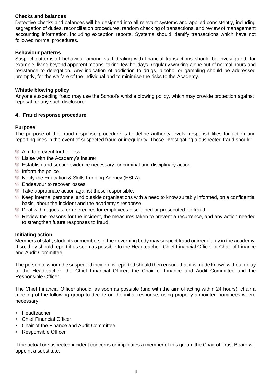# **Checks and balances**

Detective checks and balances will be designed into all relevant systems and applied consistently, including segregation of duties, reconciliation procedures, random checking of transactions, and review of management accounting information, including exception reports. Systems should identify transactions which have not followed normal procedures.

## **Behaviour patterns**

Suspect patterns of behaviour among staff dealing with financial transactions should be investigated, for example, living beyond apparent means, taking few holidays, regularly working alone out of normal hours and resistance to delegation. Any indication of addiction to drugs, alcohol or gambling should be addressed promptly, for the welfare of the individual and to minimise the risks to the Academy.

# **Whistle blowing policy**

Anyone suspecting fraud may use the School's whistle blowing policy, which may provide protection against reprisal for any such disclosure.

#### **4. Fraud response procedure**

#### **Purpose**

The purpose of this fraud response procedure is to define authority levels, responsibilities for action and reporting lines in the event of suspected fraud or irregularity. Those investigating a suspected fraud should:

- **Aim to prevent further loss.**
- **Example 2** Liaise with the Academy's insurer.
- Establish and secure evidence necessary for criminal and disciplinary action.
- Inform the police.
- Notify the Education & Skills Funding Agency (ESFA).
- **Endeavour to recover losses.**
- Take appropriate action against those responsible.
- $\bullet$  Keep internal personnel and outside organisations with a need to know suitably informed, on a confidential basis, about the incident and the academy's response.
- Deal with requests for references for employees disciplined or prosecuted for fraud.
- Review the reasons for the incident, the measures taken to prevent a recurrence, and any action needed to strengthen future responses to fraud.

#### **Initiating action**

Members of staff, students or members of the governing body may suspect fraud or irregularity in the academy. If so, they should report it as soon as possible to the Headteacher, Chief Financial Officer or Chair of Finance and Audit Committee.

The person to whom the suspected incident is reported should then ensure that it is made known without delay to the Headteacher, the Chief Financial Officer, the Chair of Finance and Audit Committee and the Responsible Officer.

The Chief Financial Officer should, as soon as possible (and with the aim of acting within 24 hours), chair a meeting of the following group to decide on the initial response, using properly appointed nominees where necessary:

- Headteacher
- Chief Financial Officer
- Chair of the Finance and Audit Committee
- Responsible Officer

If the actual or suspected incident concerns or implicates a member of this group, the Chair of Trust Board will appoint a substitute.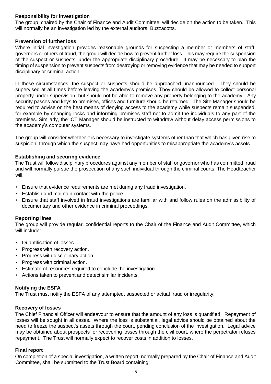# **Responsibility for investigation**

The group, chaired by the Chair of Finance and Audit Committee, will decide on the action to be taken. This will normally be an investigation led by the external auditors, Buzzacotts.

## **Prevention of further loss**

Where initial investigation provides reasonable grounds for suspecting a member or members of staff, governors or others of fraud, the group will decide how to prevent further loss. This may require the suspension of the suspect or suspects, under the appropriate disciplinary procedure. It may be necessary to plan the timing of suspension to prevent suspects from destroying or removing evidence that may be needed to support disciplinary or criminal action.

In these circumstances, the suspect or suspects should be approached unannounced. They should be supervised at all times before leaving the academy's premises. They should be allowed to collect personal property under supervision, but should not be able to remove any property belonging to the academy. Any security passes and keys to premises, offices and furniture should be returned. The Site Manager should be required to advise on the best means of denying access to the academy while suspects remain suspended, for example by changing locks and informing premises staff not to admit the individuals to any part of the premises. Similarly, the ICT Manager should be instructed to withdraw without delay access permissions to the academy's computer systems.

The group will consider whether it is necessary to investigate systems other than that which has given rise to suspicion, through which the suspect may have had opportunities to misappropriate the academy's assets.

#### **Establishing and securing evidence**

The Trust will follow disciplinary procedures against any member of staff or governor who has committed fraud and will normally pursue the prosecution of any such individual through the criminal courts. The Headteacher will:

- Ensure that evidence requirements are met during any fraud investigation.
- Establish and maintain contact with the police.
- Ensure that staff involved in fraud investigations are familiar with and follow rules on the admissibility of documentary and other evidence in criminal proceedings.

#### **Reporting lines**

The group will provide regular, confidential reports to the Chair of the Finance and Audit Committee, which will include:

- Quantification of losses.
- Progress with recovery action.
- Progress with disciplinary action.
- Progress with criminal action.
- Estimate of resources required to conclude the investigation.
- Actions taken to prevent and detect similar incidents.

#### **Notifying the ESFA**

The Trust must notify the ESFA of any attempted, suspected or actual fraud or irregularity.

#### **Recovery of losses**

The Chief Financial Officer will endeavour to ensure that the amount of any loss is quantified. Repayment of losses will be sought in all cases. Where the loss is substantial, legal advice should be obtained about the need to freeze the suspect's assets through the court, pending conclusion of the investigation. Legal advice may be obtained about prospects for recovering losses through the civil court, where the perpetrator refuses repayment. The Trust will normally expect to recover costs in addition to losses.

#### **Final report**

On completion of a special investigation, a written report, normally prepared by the Chair of Finance and Audit Committee, shall be submitted to the Trust Board containing: